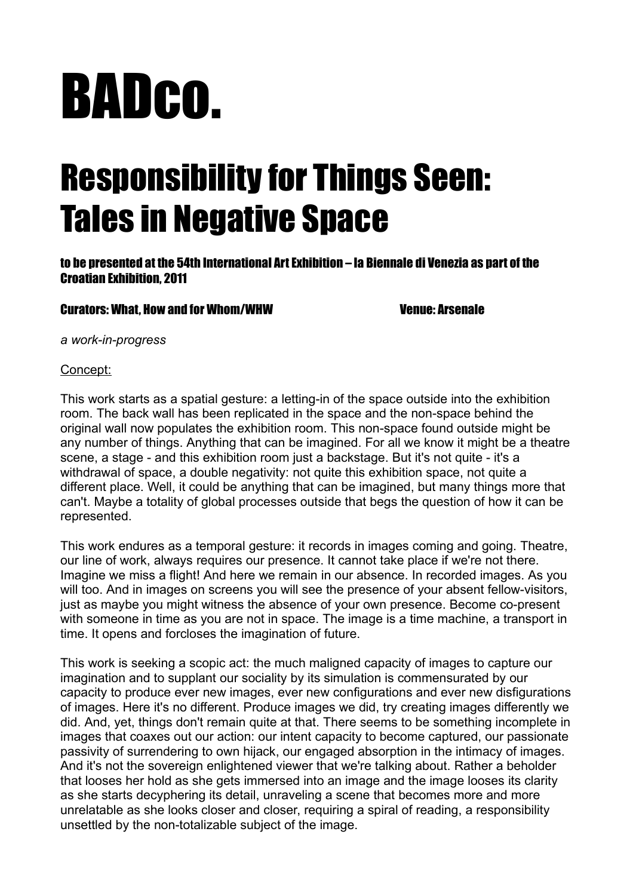# BADco.

## Responsibility for Things Seen: Tales in Negative Space

to be presented at the 54th International Art Exhibition – la Biennale di Venezia as part of the Croatian Exhibition, 2011

#### Curators: What, How and for Whom/WHW Curators: What, How and for Whom/WHW

*a work-in-progress*

#### Concept:

This work starts as a spatial gesture: a letting-in of the space outside into the exhibition room. The back wall has been replicated in the space and the non-space behind the original wall now populates the exhibition room. This non-space found outside might be any number of things. Anything that can be imagined. For all we know it might be a theatre scene, a stage - and this exhibition room just a backstage. But it's not quite - it's a withdrawal of space, a double negativity: not quite this exhibition space, not quite a different place. Well, it could be anything that can be imagined, but many things more that can't. Maybe a totality of global processes outside that begs the question of how it can be represented.

This work endures as a temporal gesture: it records in images coming and going. Theatre, our line of work, always requires our presence. It cannot take place if we're not there. Imagine we miss a flight! And here we remain in our absence. In recorded images. As you will too. And in images on screens you will see the presence of your absent fellow-visitors, just as maybe you might witness the absence of your own presence. Become co-present with someone in time as you are not in space. The image is a time machine, a transport in time. It opens and forcloses the imagination of future.

This work is seeking a scopic act: the much maligned capacity of images to capture our imagination and to supplant our sociality by its simulation is commensurated by our capacity to produce ever new images, ever new configurations and ever new disfigurations of images. Here it's no different. Produce images we did, try creating images differently we did. And, yet, things don't remain quite at that. There seems to be something incomplete in images that coaxes out our action: our intent capacity to become captured, our passionate passivity of surrendering to own hijack, our engaged absorption in the intimacy of images. And it's not the sovereign enlightened viewer that we're talking about. Rather a beholder that looses her hold as she gets immersed into an image and the image looses its clarity as she starts decyphering its detail, unraveling a scene that becomes more and more unrelatable as she looks closer and closer, requiring a spiral of reading, a responsibility unsettled by the non-totalizable subject of the image.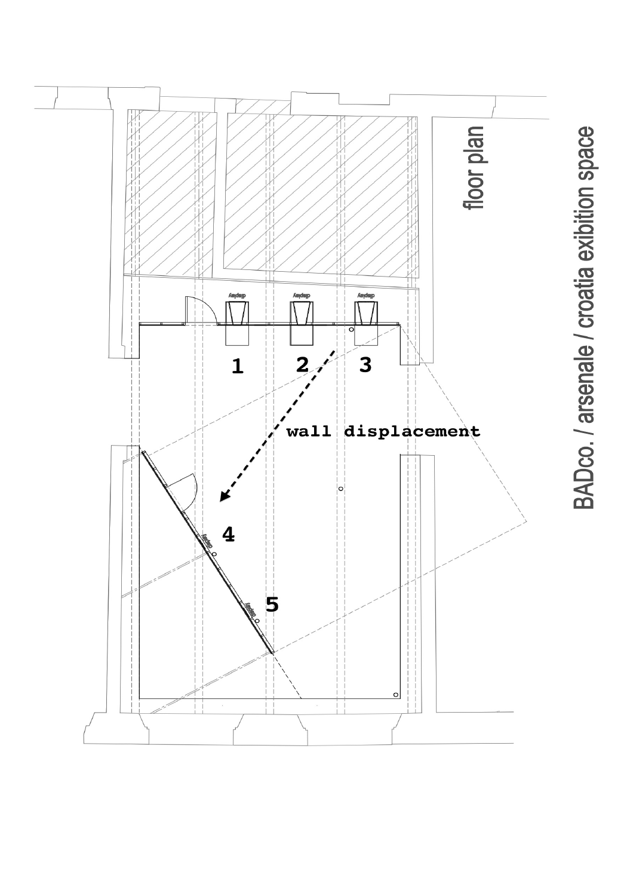

BADco. / arsenale / croatia exibition space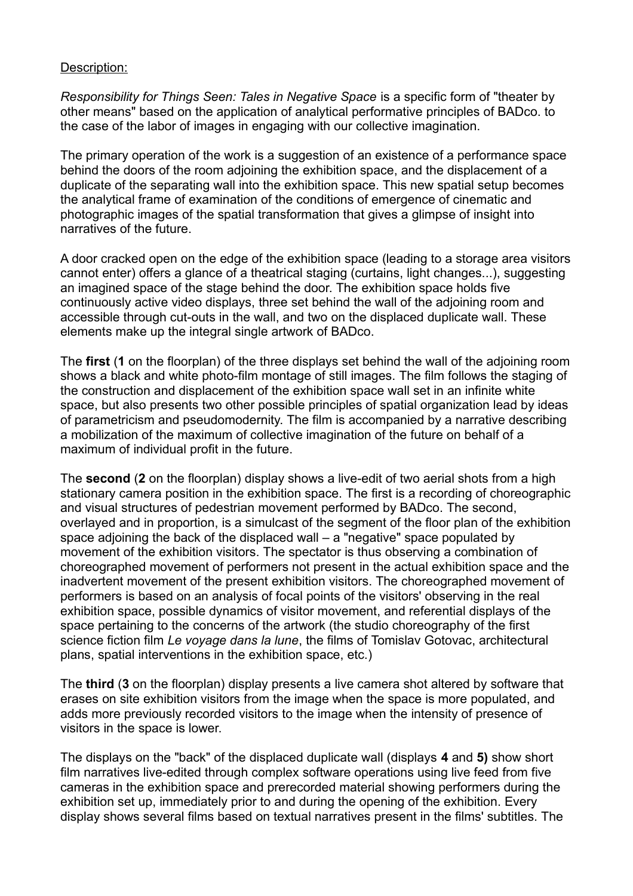#### Description:

*Responsibility for Things Seen: Tales in Negative Space* is a specific form of "theater by other means" based on the application of analytical performative principles of BADco. to the case of the labor of images in engaging with our collective imagination.

The primary operation of the work is a suggestion of an existence of a performance space behind the doors of the room adjoining the exhibition space, and the displacement of a duplicate of the separating wall into the exhibition space. This new spatial setup becomes the analytical frame of examination of the conditions of emergence of cinematic and photographic images of the spatial transformation that gives a glimpse of insight into narratives of the future.

A door cracked open on the edge of the exhibition space (leading to a storage area visitors cannot enter) offers a glance of a theatrical staging (curtains, light changes...), suggesting an imagined space of the stage behind the door. The exhibition space holds five continuously active video displays, three set behind the wall of the adjoining room and accessible through cut-outs in the wall, and two on the displaced duplicate wall. These elements make up the integral single artwork of BADco.

The **first** (**1** on the floorplan) of the three displays set behind the wall of the adjoining room shows a black and white photo-film montage of still images. The film follows the staging of the construction and displacement of the exhibition space wall set in an infinite white space, but also presents two other possible principles of spatial organization lead by ideas of parametricism and pseudomodernity. The film is accompanied by a narrative describing a mobilization of the maximum of collective imagination of the future on behalf of a maximum of individual profit in the future.

The **second** (**2** on the floorplan) display shows a live-edit of two aerial shots from a high stationary camera position in the exhibition space. The first is a recording of choreographic and visual structures of pedestrian movement performed by BADco. The second, overlayed and in proportion, is a simulcast of the segment of the floor plan of the exhibition space adjoining the back of the displaced wall – a "negative" space populated by movement of the exhibition visitors. The spectator is thus observing a combination of choreographed movement of performers not present in the actual exhibition space and the inadvertent movement of the present exhibition visitors. The choreographed movement of performers is based on an analysis of focal points of the visitors' observing in the real exhibition space, possible dynamics of visitor movement, and referential displays of the space pertaining to the concerns of the artwork (the studio choreography of the first science fiction film *Le voyage dans la lune*, the films of Tomislav Gotovac, architectural plans, spatial interventions in the exhibition space, etc.)

The **third** (**3** on the floorplan) display presents a live camera shot altered by software that erases on site exhibition visitors from the image when the space is more populated, and adds more previously recorded visitors to the image when the intensity of presence of visitors in the space is lower.

The displays on the "back" of the displaced duplicate wall (displays **4** and **5)** show short film narratives live-edited through complex software operations using live feed from five cameras in the exhibition space and prerecorded material showing performers during the exhibition set up, immediately prior to and during the opening of the exhibition. Every display shows several films based on textual narratives present in the films' subtitles. The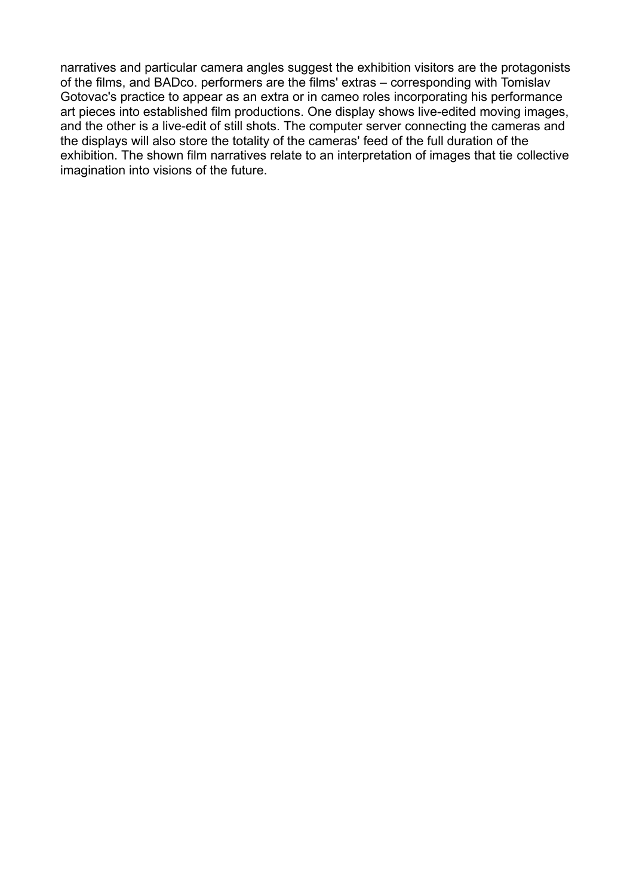narratives and particular camera angles suggest the exhibition visitors are the protagonists of the films, and BADco. performers are the films' extras – corresponding with Tomislav Gotovac's practice to appear as an extra or in cameo roles incorporating his performance art pieces into established film productions. One display shows live-edited moving images, and the other is a live-edit of still shots. The computer server connecting the cameras and the displays will also store the totality of the cameras' feed of the full duration of the exhibition. The shown film narratives relate to an interpretation of images that tie collective imagination into visions of the future.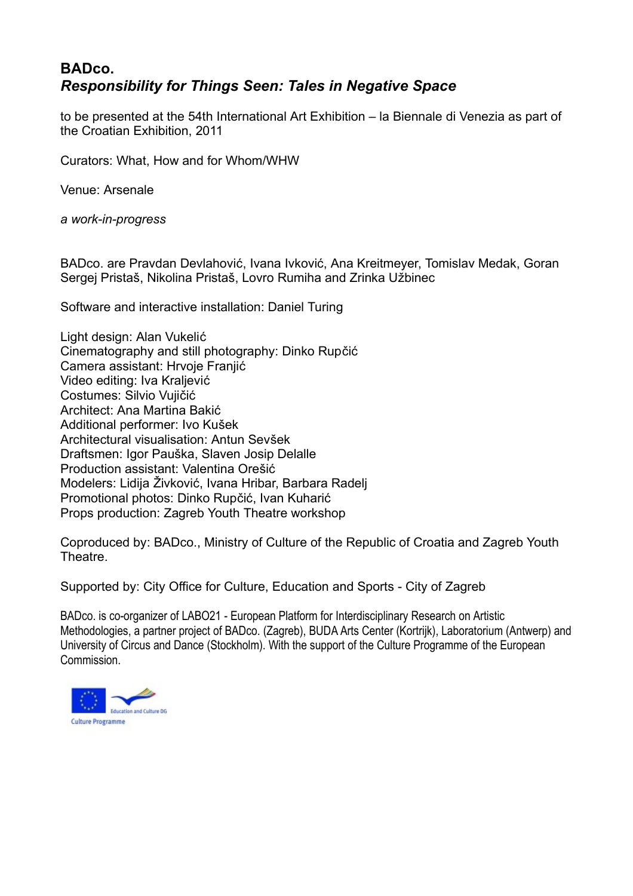### **BADco.** *Responsibility for Things Seen: Tales in Negative Space*

to be presented at the 54th International Art Exhibition – la Biennale di Venezia as part of the Croatian Exhibition, 2011

Curators: What, How and for Whom/WHW

Venue: Arsenale

*a work-in-progress*

BADco. are Pravdan Devlahović, Ivana Ivković, Ana Kreitmeyer, Tomislav Medak, Goran Sergej Pristaš, Nikolina Pristaš, Lovro Rumiha and Zrinka Užbinec

Software and interactive installation: Daniel Turing

Light design: Alan Vukelić Cinematography and still photography: Dinko Rupčić Camera assistant: Hrvoje Franjić Video editing: Iva Kraljević Costumes: Silvio Vujičić Architect: Ana Martina Bakić Additional performer: Ivo Kušek Architectural visualisation: Antun Sevšek Draftsmen: Igor Pauška, Slaven Josip Delalle Production assistant: Valentina Orešić Modelers: Lidija Živković, Ivana Hribar, Barbara Radelj Promotional photos: Dinko Rupčić, Ivan Kuharić Props production: Zagreb Youth Theatre workshop

Coproduced by: BADco., Ministry of Culture of the Republic of Croatia and Zagreb Youth Theatre.

Supported by: City Office for Culture, Education and Sports - City of Zagreb

BADco. is co-organizer of LABO21 - European Platform for Interdisciplinary Research on Artistic Methodologies, a partner project of BADco. (Zagreb), BUDA Arts Center (Kortrijk), Laboratorium (Antwerp) and University of Circus and Dance (Stockholm). With the support of the Culture Programme of the European **Commission**